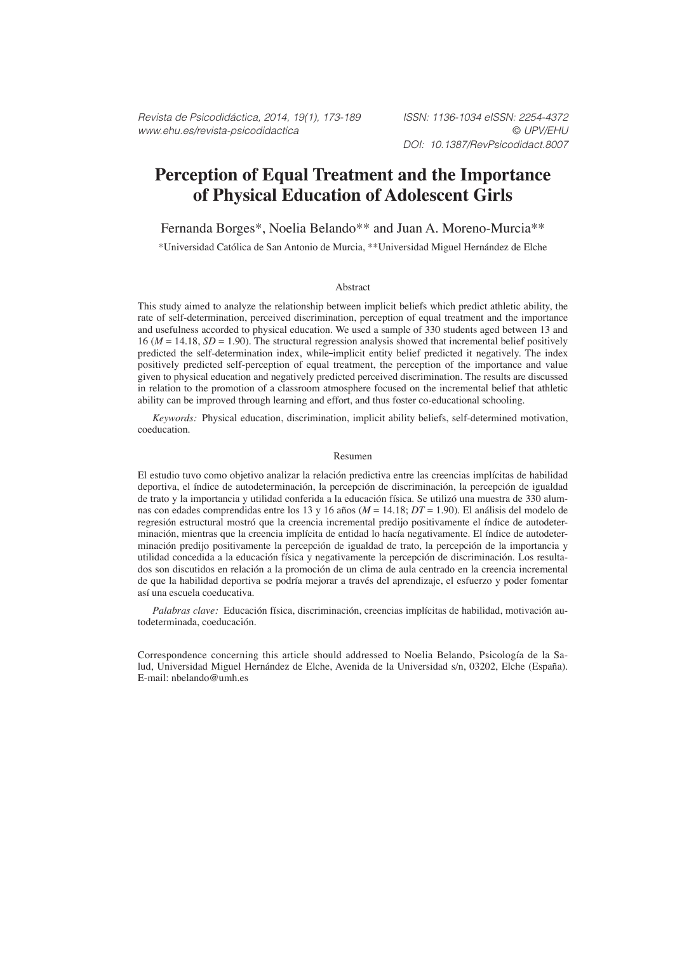Revista de Psicodidáctica, 2014, 19(1), 173-189 ISSN: 1136-1034 eISSN: 2254-4372 www.ehu.es/revista-psicodidactica © UPV/EHU

# **Perception of Equal Treatment and the Importance of Physical Education of Adolescent Girls**

Fernanda Borges\*, Noelia Belando\*\* and Juan A. Moreno-Murcia\*\*

\*Universidad Católica de San Antonio de Murcia, \*\*Universidad Miguel Hernández de Elche

#### Abstract

This study aimed to analyze the relationship between implicit beliefs which predict athletic ability, the rate of self-determination, perceived discrimination, perception of equal treatment and the importance and usefulness accorded to physical education. We used a sample of 330 students aged between 13 and 16 ( $M = 14.18$ ,  $SD = 1.90$ ). The structural regression analysis showed that incremental belief positively predicted the self-determination index, while-implicit entity belief predicted it negatively. The index positively predicted self-perception of equal treatment, the perception of the importance and value given to physical education and negatively predicted perceived discrimination. The results are discussed in relation to the promotion of a classroom atmosphere focused on the incremental belief that athletic ability can be improved through learning and effort, and thus foster co-educational schooling.

*Keywords:* Physical education, discrimination, implicit ability beliefs, self-determined motivation, coeducation.

#### Resumen

El estudio tuvo como objetivo analizar la relación predictiva entre las creencias implícitas de habilidad deportiva, el índice de autodeterminación, la percepción de discriminación, la percepción de igualdad de trato y la importancia y utilidad conferida a la educación física. Se utilizó una muestra de 330 alumnas con edades comprendidas entre los 13 y 16 años (*M* = 14.18; *DT* = 1.90). El análisis del modelo de regresión estructural mostró que la creencia incremental predijo positivamente el índice de autodeterminación, mientras que la creencia implícita de entidad lo hacía negativamente. El índice de autodeterminación predijo positivamente la percepción de igualdad de trato, la percepción de la importancia y utilidad concedida a la educación física y negativamente la percepción de discriminación. Los resultados son discutidos en relación a la promoción de un clima de aula centrado en la creencia incremental de que la habilidad deportiva se podría mejorar a través del aprendizaje, el esfuerzo y poder fomentar así una escuela coeducativa.

*Palabras clave:* Educación física, discriminación, creencias implícitas de habilidad, motivación autodeterminada, coeducación.

Correspondence concerning this article should addressed to Noelia Belando, Psicología de la Salud, Universidad Miguel Hernández de Elche, Avenida de la Universidad s/n, 03202, Elche (España). E-mail: nbelando@umh.es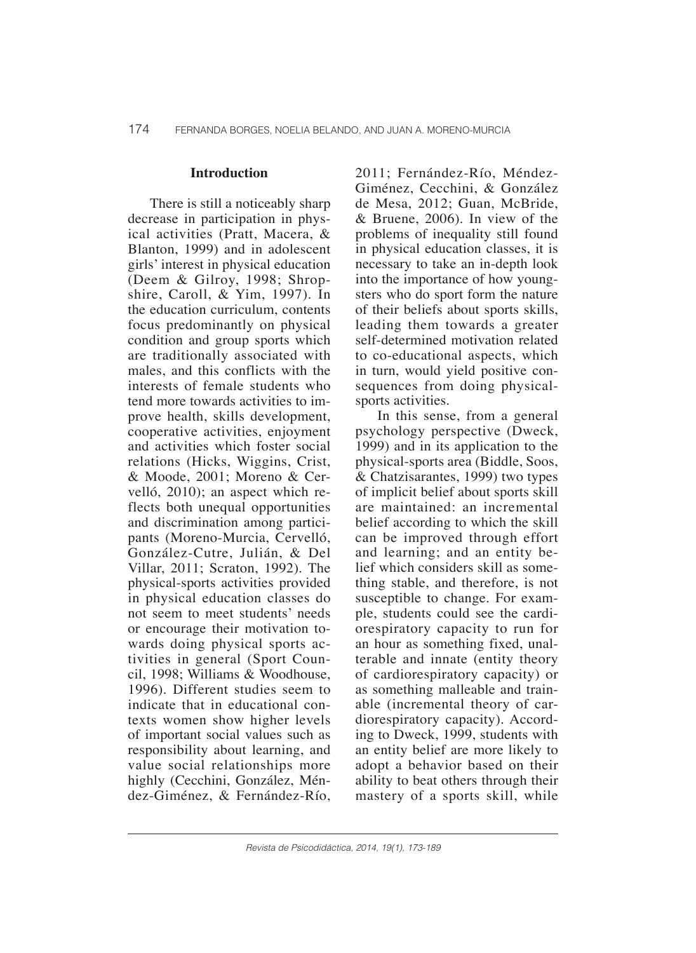#### **Introduction**

There is still a noticeably sharp decrease in participation in physical activities (Pratt, Macera, & Blanton, 1999) and in adolescent girls' interest in physical education (Deem & Gilroy, 1998; Shropshire, Caroll, & Yim, 1997). In the education curriculum, contents focus predominantly on physical condition and group sports which are traditionally associated with males, and this conflicts with the interests of female students who tend more towards activities to improve health, skills development, cooperative activities, enjoyment and activities which foster social relations (Hicks, Wiggins, Crist, & Moode, 2001; Moreno & Cervelló, 2010); an aspect which reflects both unequal opportunities and discrimination among participants (Moreno-Murcia, Cervelló, González-Cutre, Julián, & Del Villar, 2011; Scraton, 1992). The physical-sports activities provided in physical education classes do not seem to meet students' needs or encourage their motivation towards doing physical sports activities in general (Sport Council, 1998; Williams & Woodhouse, 1996). Different studies seem to indicate that in educational contexts women show higher levels of important social values such as responsibility about learning, and value social relationships more highly (Cecchini, González, Méndez-Giménez, & Fernández-Río,

2011; Fernández-Río, Méndez-Giménez, Cecchini, & González de Mesa, 2012; Guan, McBride, & Bruene, 2006). In view of the problems of inequality still found in physical education classes, it is necessary to take an in-depth look into the importance of how youngsters who do sport form the nature of their beliefs about sports skills, leading them towards a greater self-determined motivation related to co-educational aspects, which in turn, would yield positive consequences from doing physicalsports activities.

In this sense, from a general psychology perspective (Dweck, 1999) and in its application to the physical-sports area (Biddle, Soos, & Chatzisarantes, 1999) two types of implicit belief about sports skill are maintained: an incremental belief according to which the skill can be improved through effort and learning; and an entity belief which considers skill as something stable, and therefore, is not susceptible to change. For example, students could see the cardiorespiratory capacity to run for an hour as something fixed, unalterable and innate (entity theory of cardiorespiratory capacity) or as something malleable and trainable (incremental theory of cardiorespiratory capacity). According to Dweck, 1999, students with an entity belief are more likely to adopt a behavior based on their ability to beat others through their mastery of a sports skill, while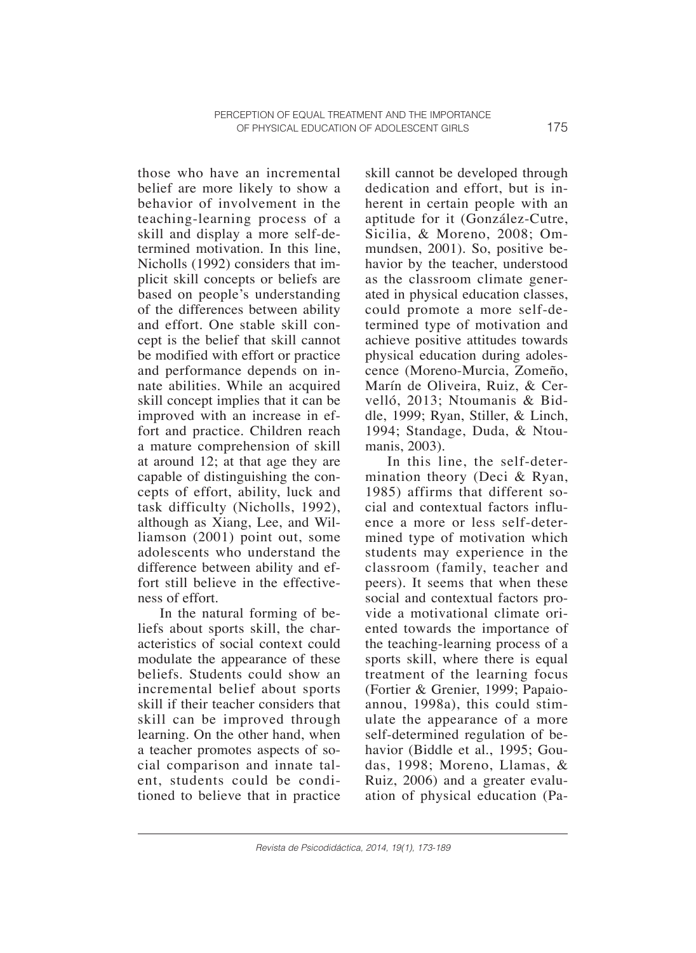those who have an incremental belief are more likely to show a behavior of involvement in the teaching-learning process of a skill and display a more self-determined motivation. In this line, Nicholls (1992) considers that implicit skill concepts or beliefs are based on people's understanding of the differences between ability and effort. One stable skill concept is the belief that skill cannot be modified with effort or practice and performance depends on innate abilities. While an acquired skill concept implies that it can be improved with an increase in effort and practice. Children reach a mature comprehension of skill at around 12; at that age they are capable of distinguishing the concepts of effort, ability, luck and task difficulty (Nicholls, 1992), although as Xiang, Lee, and Williamson (2001) point out, some adolescents who understand the difference between ability and effort still believe in the effectiveness of effort.

In the natural forming of beliefs about sports skill, the characteristics of social context could modulate the appearance of these beliefs. Students could show an incremental belief about sports skill if their teacher considers that skill can be improved through learning. On the other hand, when a teacher promotes aspects of social comparison and innate talent, students could be conditioned to believe that in practice skill cannot be developed through dedication and effort, but is inherent in certain people with an aptitude for it (González-Cutre, Sicilia, & Moreno, 2008; Ommundsen, 2001). So, positive behavior by the teacher, understood as the classroom climate generated in physical education classes, could promote a more self-determined type of motivation and achieve positive attitudes towards physical education during adolescence (Moreno-Murcia, Zomeño, Marín de Oliveira, Ruiz, & Cervelló, 2013; Ntoumanis & Biddle, 1999; Ryan, Stiller, & Linch, 1994; Standage, Duda, & Ntoumanis, 2003).

In this line, the self-determination theory (Deci & Ryan, 1985) affirms that different social and contextual factors influence a more or less self-determined type of motivation which students may experience in the classroom (family, teacher and peers). It seems that when these social and contextual factors provide a motivational climate oriented towards the importance of the teaching-learning process of a sports skill, where there is equal treatment of the learning focus (Fortier & Grenier, 1999; Papaioannou, 1998a), this could stimulate the appearance of a more self-determined regulation of behavior (Biddle et al., 1995; Goudas, 1998; Moreno, Llamas, & Ruiz, 2006) and a greater evaluation of physical education (Pa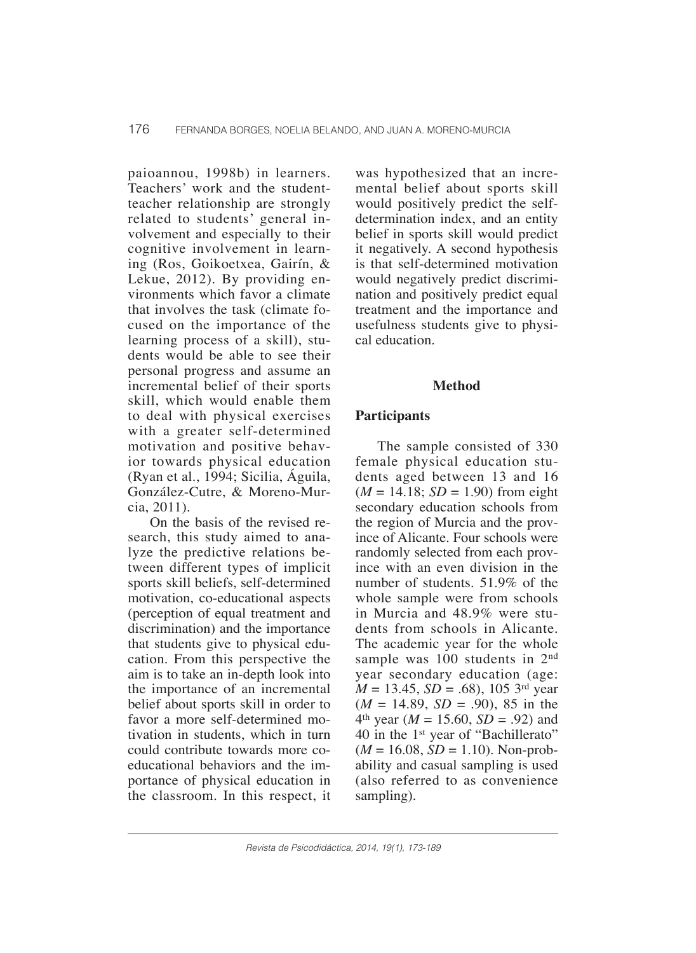paioannou, 1998b) in learners. Teachers' work and the studentteacher relationship are strongly related to students' general involvement and especially to their cognitive involvement in learning (Ros, Goikoetxea, Gairín, & Lekue, 2012). By providing environments which favor a climate that involves the task (climate focused on the importance of the learning process of a skill), students would be able to see their personal progress and assume an incremental belief of their sports skill, which would enable them to deal with physical exercises with a greater self-determined motivation and positive behavior towards physical education (Ryan et al., 1994; Sicilia, Águila, González-Cutre, & Moreno-Murcia, 2011).

On the basis of the revised research, this study aimed to analyze the predictive relations between different types of implicit sports skill beliefs, self-determined motivation, co-educational aspects (perception of equal treatment and discrimination) and the importance that students give to physical education. From this perspective the aim is to take an in-depth look into the importance of an incremental belief about sports skill in order to favor a more self-determined motivation in students, which in turn could contribute towards more coeducational behaviors and the importance of physical education in the classroom. In this respect, it

was hypothesized that an incremental belief about sports skill would positively predict the selfdetermination index, and an entity belief in sports skill would predict it negatively. A second hypothesis is that self-determined motivation would negatively predict discrimination and positively predict equal treatment and the importance and usefulness students give to physical education.

### **Method**

# **Participants**

The sample consisted of 330 female physical education students aged between 13 and 16  $(M = 14.18; SD = 1.90)$  from eight secondary education schools from the region of Murcia and the province of Alicante. Four schools were randomly selected from each province with an even division in the number of students. 51.9% of the whole sample were from schools in Murcia and 48.9% were students from schools in Alicante. The academic year for the whole sample was 100 students in 2<sup>nd</sup> year secondary education (age: *M* = 13.45, *SD* = .68), 105 3rd year  $(M = 14.89, SD = .90)$ , 85 in the  $4<sup>th</sup>$  year (*M* = 15.60, *SD* = .92) and 40 in the 1st year of "Bachillerato"  $(M = 16.08, SD = 1.10)$ . Non-probability and casual sampling is used (also referred to as convenience sampling).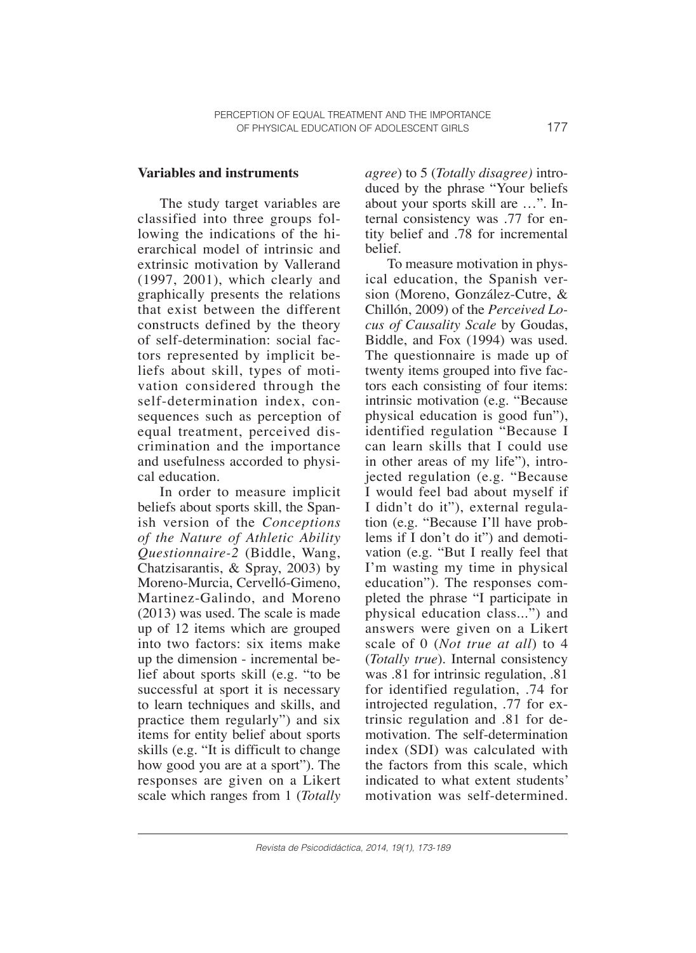### **Variables and instruments**

The study target variables are classified into three groups following the indications of the hierarchical model of intrinsic and extrinsic motivation by Vallerand (1997, 2001), which clearly and graphically presents the relations that exist between the different constructs defined by the theory of self-determination: social factors represented by implicit beliefs about skill, types of motivation considered through the self-determination index, consequences such as perception of equal treatment, perceived discrimination and the importance and usefulness accorded to physical education.

In order to measure implicit beliefs about sports skill, the Spanish version of the *Conceptions of the Nature of Athletic Ability Questionnaire-2* (Biddle, Wang, Chatzisarantis, & Spray, 2003) by Moreno-Murcia, Cervelló-Gimeno, Martinez-Galindo, and Moreno (2013) was used. The scale is made up of 12 items which are grouped into two factors: six items make up the dimension - incremental belief about sports skill (e.g. "to be successful at sport it is necessary to learn techniques and skills, and practice them regularly") and six items for entity belief about sports skills (e.g. "It is difficult to change how good you are at a sport"). The responses are given on a Likert scale which ranges from 1 (*Totally* 

*agree*) to 5 (*Totally disagree)* introduced by the phrase "Your beliefs about your sports skill are …". Internal consistency was .77 for entity belief and .78 for incremental belief.

To measure motivation in physical education, the Spanish version (Moreno, González-Cutre, & Chillón, 2009) of the *Perceived Locus of Causality Scale* by Goudas, Biddle, and Fox (1994) was used. The questionnaire is made up of twenty items grouped into five factors each consisting of four items: intrinsic motivation (e.g. "Because physical education is good fun"), identified regulation "Because I can learn skills that I could use in other areas of my life"), introjected regulation (e.g. "Because I would feel bad about myself if I didn't do it"), external regulation (e.g. "Because I'll have problems if I don't do it") and demotivation (e.g. "But I really feel that I'm wasting my time in physical education"). The responses completed the phrase "I participate in physical education class...") and answers were given on a Likert scale of 0 (*Not true at all*) to 4 (*Totally true*). Internal consistency was .81 for intrinsic regulation, .81 for identified regulation, .74 for introjected regulation, .77 for extrinsic regulation and .81 for demotivation. The self-determination index (SDI) was calculated with the factors from this scale, which indicated to what extent students' motivation was self-determined.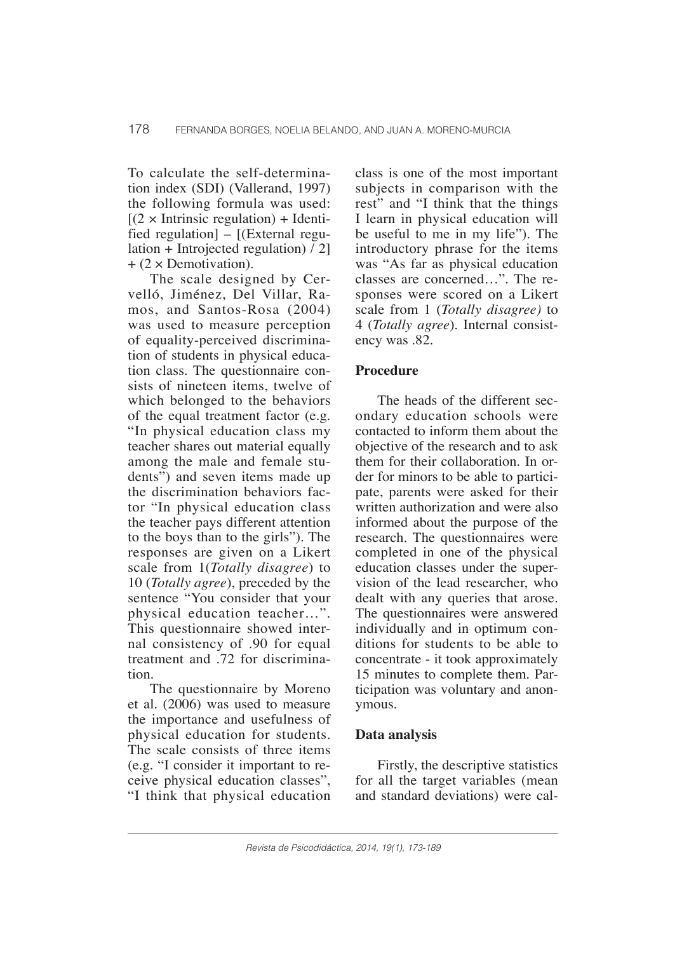To calculate the self-determination index (SDI) (Vallerand, 1997) the following formula was used:  $[(2 \times Inttrinsic regulation) + Identi$ fied regulation] – [(External regulation + Introjected regulation) / 2]  $+$  (2  $\times$  Demotivation).

The scale designed by Cervelló, Jiménez, Del Villar, Ramos, and Santos-Rosa (2004) was used to measure perception of equality-perceived discrimination of students in physical education class. The questionnaire consists of nineteen items, twelve of which belonged to the behaviors of the equal treatment factor (e.g. "In physical education class my teacher shares out material equally among the male and female students") and seven items made up the discrimination behaviors factor "In physical education class the teacher pays different attention to the boys than to the girls"). The responses are given on a Likert scale from 1(*Totally disagree*) to 10 (*Totally agree*), preceded by the sentence "You consider that your physical education teacher…". This questionnaire showed internal consistency of .90 for equal treatment and .72 for discrimination.

The questionnaire by Moreno et al. (2006) was used to measure the importance and usefulness of physical education for students. The scale consists of three items (e.g. "I consider it important to receive physical education classes", "I think that physical education

class is one of the most important subjects in comparison with the rest" and "I think that the things I learn in physical education will be useful to me in my life"). The introductory phrase for the items was "As far as physical education classes are concerned…". The responses were scored on a Likert scale from 1 (*Totally disagree)* to 4 (*Totally agree*). Internal consistency was .82.

### **Procedure**

The heads of the different secondary education schools were contacted to inform them about the objective of the research and to ask them for their collaboration. In order for minors to be able to participate, parents were asked for their written authorization and were also informed about the purpose of the research. The questionnaires were completed in one of the physical education classes under the supervision of the lead researcher, who dealt with any queries that arose. The questionnaires were answered individually and in optimum conditions for students to be able to concentrate - it took approximately 15 minutes to complete them. Participation was voluntary and anonymous.

#### **Data analysis**

Firstly, the descriptive statistics for all the target variables (mean and standard deviations) were cal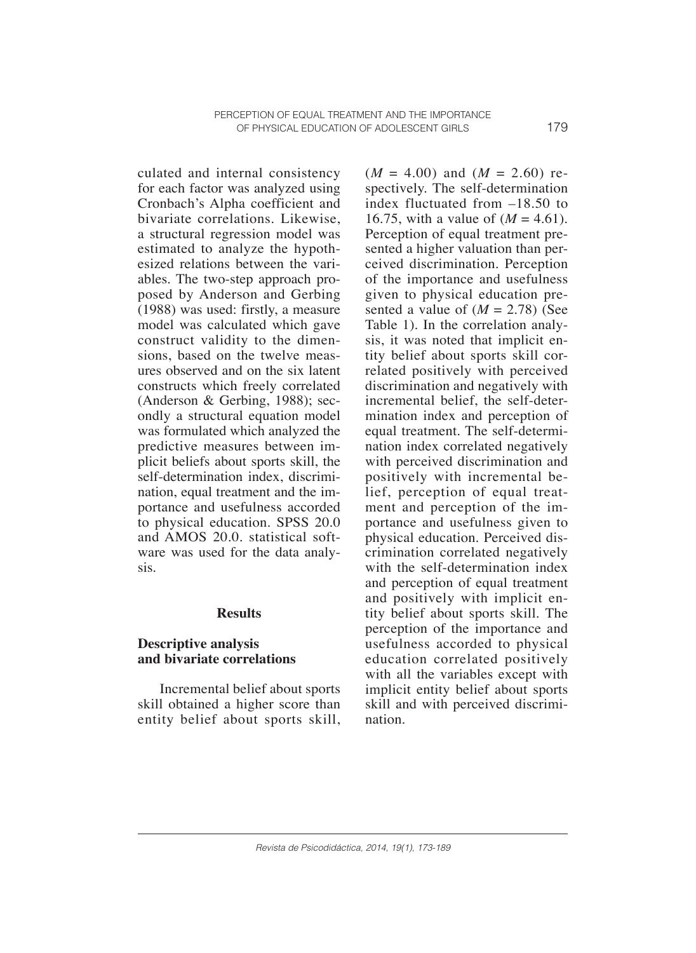culated and internal consistency for each factor was analyzed using Cronbach's Alpha coefficient and bivariate correlations. Likewise, a structural regression model was estimated to analyze the hypothesized relations between the variables. The two-step approach proposed by Anderson and Gerbing (1988) was used: firstly, a measure model was calculated which gave construct validity to the dimensions, based on the twelve measures observed and on the six latent constructs which freely correlated (Anderson & Gerbing, 1988); secondly a structural equation model was formulated which analyzed the predictive measures between implicit beliefs about sports skill, the self-determination index, discrimination, equal treatment and the importance and usefulness accorded to physical education. SPSS 20.0 and AMOS 20.0. statistical software was used for the data analysis.

#### **Results**

# **Descriptive analysis and bivariate correlations**

Incremental belief about sports skill obtained a higher score than entity belief about sports skill,  $(M = 4.00)$  and  $(M = 2.60)$  respectively. The self-determination index fluctuated from –18.50 to 16.75, with a value of  $(M = 4.61)$ . Perception of equal treatment presented a higher valuation than perceived discrimination. Perception of the importance and usefulness given to physical education presented a value of  $(M = 2.78)$  (See Table 1). In the correlation analysis, it was noted that implicit entity belief about sports skill correlated positively with perceived discrimination and negatively with incremental belief, the self-determination index and perception of equal treatment. The self-determination index correlated negatively with perceived discrimination and positively with incremental belief, perception of equal treatment and perception of the importance and usefulness given to physical education. Perceived discrimination correlated negatively with the self-determination index and perception of equal treatment and positively with implicit entity belief about sports skill. The perception of the importance and usefulness accorded to physical education correlated positively with all the variables except with implicit entity belief about sports skill and with perceived discrimination.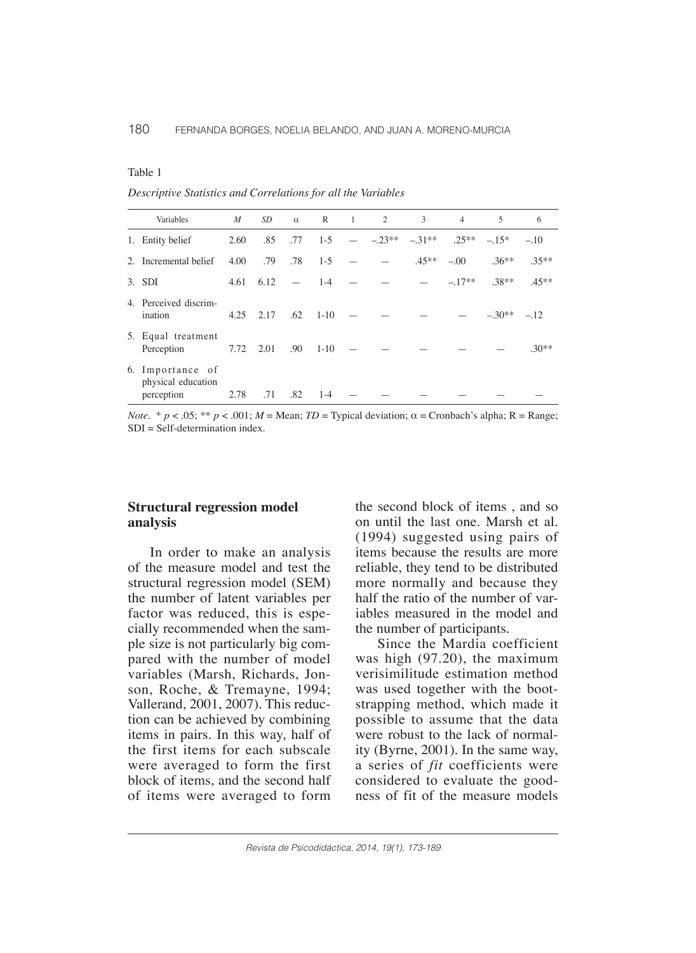| I |  |
|---|--|
|---|--|

*Descriptive Statistics and Correlations for all the Variables*

| Variables                                            | M             | SD <sub>-</sub>   |                          | $\alpha$ R 1 2 |     |          | 3       | $\overline{4}$ | $\overline{5}$ | 6       |
|------------------------------------------------------|---------------|-------------------|--------------------------|----------------|-----|----------|---------|----------------|----------------|---------|
| 1. Entity belief                                     | 2.60          | .85               | .77                      | $1-5$          | $-$ | $-.23**$ | $-31**$ | $.25***$       | $-.15*$        | $-.10$  |
| 2. Incremental belief                                | 4.00          | .79               | .78                      | $1-5$          |     |          | $.45**$ | $-.00$         | $.36***$       | $.35**$ |
| 3. SDI                                               |               | $4.61 \quad 6.12$ | $\overline{\phantom{m}}$ | $1 - 4$        |     |          |         | $-.17**$       | $.38**$        | $.45**$ |
| 4. Perceived discrim-<br>ination                     | $4.25$ $2.17$ |                   | .62                      | $1 - 10$       |     |          |         |                | $-.30**$       | $-.12$  |
| 5. Equal treatment<br>Perception                     | 7.72 2.01     |                   | .90                      | $1 - 10$       |     |          |         |                |                | $.30**$ |
| 6. Importance of<br>physical education<br>perception | 2.78          | .71               | .82                      | $1-4$          |     |          |         |                |                |         |

*Note.*  $* p < .05; ** p < .001; M = Mean; TD = Typical deviation; \alpha = Cronbach's alpha; R = Range;$  $SDI = Self-determination index$ .

#### **Structural regression model analysis**

In order to make an analysis of the measure model and test the structural regression model (SEM) the number of latent variables per factor was reduced, this is especially recommended when the sample size is not particularly big compared with the number of model variables (Marsh, Richards, Jonson, Roche, & Tremayne, 1994; Vallerand, 2001, 2007). This reduction can be achieved by combining items in pairs. In this way, half of the first items for each subscale were averaged to form the first block of items, and the second half of items were averaged to form the second block of items , and so on until the last one. Marsh et al. (1994) suggested using pairs of items because the results are more reliable, they tend to be distributed more normally and because they half the ratio of the number of variables measured in the model and the number of participants.

Since the Mardia coefficient was high (97.20), the maximum verisimilitude estimation method was used together with the bootstrapping method, which made it possible to assume that the data were robust to the lack of normality (Byrne, 2001). In the same way, a series of *fit* coefficients were considered to evaluate the goodness of fit of the measure models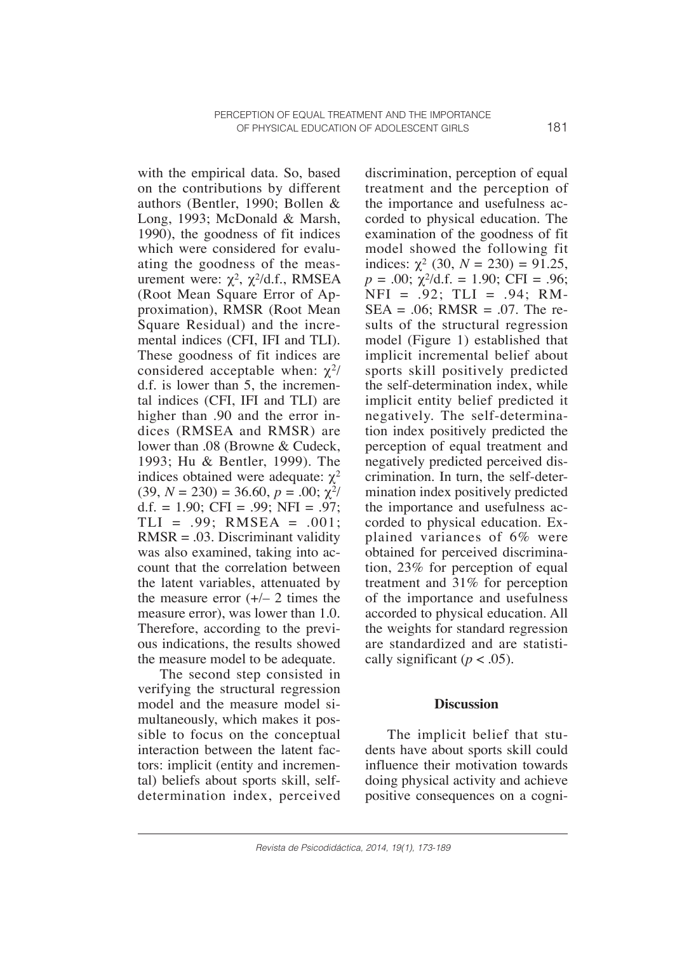with the empirical data. So, based on the contributions by different authors (Bentler, 1990; Bollen & Long, 1993; McDonald & Marsh, 1990), the goodness of fit indices which were considered for evaluating the goodness of the measurement were:  $\chi^2$ ,  $\chi^2$ /d.f., RMSEA (Root Mean Square Error of Approximation), RMSR (Root Mean Square Residual) and the incremental indices (CFI, IFI and TLI). These goodness of fit indices are considered acceptable when:  $\chi^2$ / d.f. is lower than 5, the incremental indices (CFI, IFI and TLI) are higher than .90 and the error indices (RMSEA and RMSR) are lower than .08 (Browne & Cudeck, 1993; Hu & Bentler, 1999). The indices obtained were adequate:  $χ²$  $(39, N = 230) = 36.60, p = .00; \chi^2/$ d.f. = 1.90; CFI = .99; NFI = .97;  $TLI = .99$ ; RMSEA =  $.001$ ;  $RMSR = .03$ . Discriminant validity was also examined, taking into account that the correlation between the latent variables, attenuated by the measure error  $(+/- 2)$  times the measure error), was lower than 1.0. Therefore, according to the previous indications, the results showed the measure model to be adequate.

The second step consisted in verifying the structural regression model and the measure model simultaneously, which makes it possible to focus on the conceptual interaction between the latent factors: implicit (entity and incremental) beliefs about sports skill, selfdetermination index, perceived discrimination, perception of equal treatment and the perception of the importance and usefulness accorded to physical education. The examination of the goodness of fit model showed the following fit indices:  $\chi^2$  (30,  $N = 230$ ) = 91.25,  $p = .00$ ;  $\chi^2$ /d.f. = 1.90; CFI = .96;  $NFI = .92$ ;  $TLI = .94$ ;  $RM SEA = .06$ ; RMSR = .07. The results of the structural regression model (Figure 1) established that implicit incremental belief about sports skill positively predicted the self-determination index, while implicit entity belief predicted it negatively. The self-determination index positively predicted the perception of equal treatment and negatively predicted perceived discrimination. In turn, the self-determination index positively predicted the importance and usefulness accorded to physical education. Explained variances of 6% were obtained for perceived discrimination, 23% for perception of equal treatment and 31% for perception of the importance and usefulness accorded to physical education. All the weights for standard regression are standardized and are statistically significant ( $p < .05$ ).

#### **Discussion**

The implicit belief that students have about sports skill could influence their motivation towards doing physical activity and achieve positive consequences on a cogni-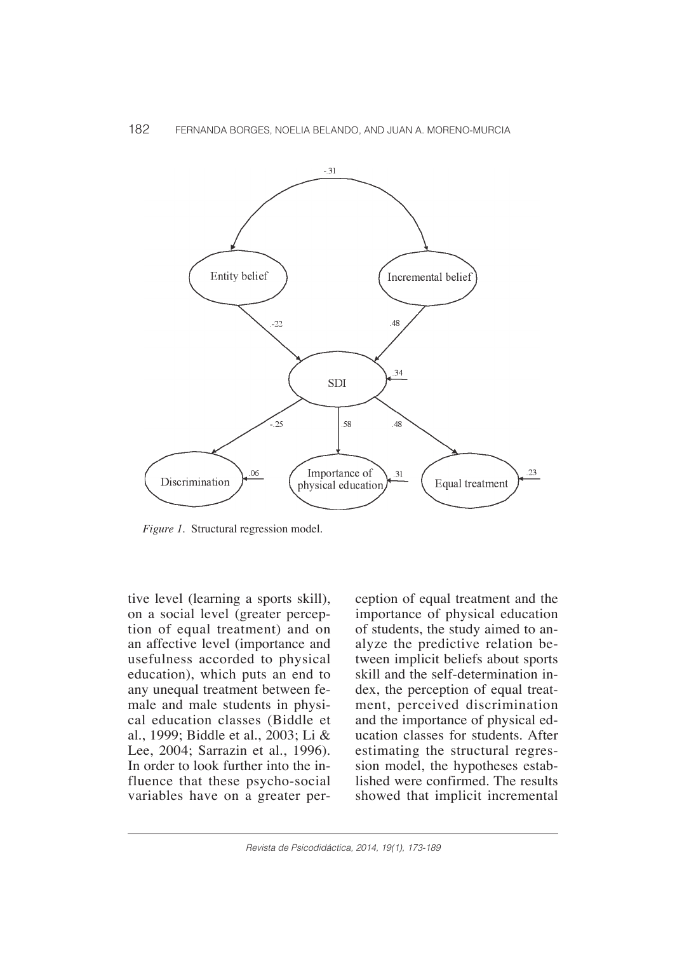

*Figure 1.* Structural regression model.

tive level (learning a sports skill), on a social level (greater perception of equal treatment) and on an affective level (importance and usefulness accorded to physical education), which puts an end to any unequal treatment between female and male students in physical education classes (Biddle et al., 1999; Biddle et al., 2003; Li & Lee, 2004; Sarrazin et al., 1996). In order to look further into the influence that these psycho-social variables have on a greater perception of equal treatment and the importance of physical education of students, the study aimed to analyze the predictive relation between implicit beliefs about sports skill and the self-determination index, the perception of equal treatment, perceived discrimination and the importance of physical education classes for students. After estimating the structural regression model, the hypotheses established were confirmed. The results showed that implicit incremental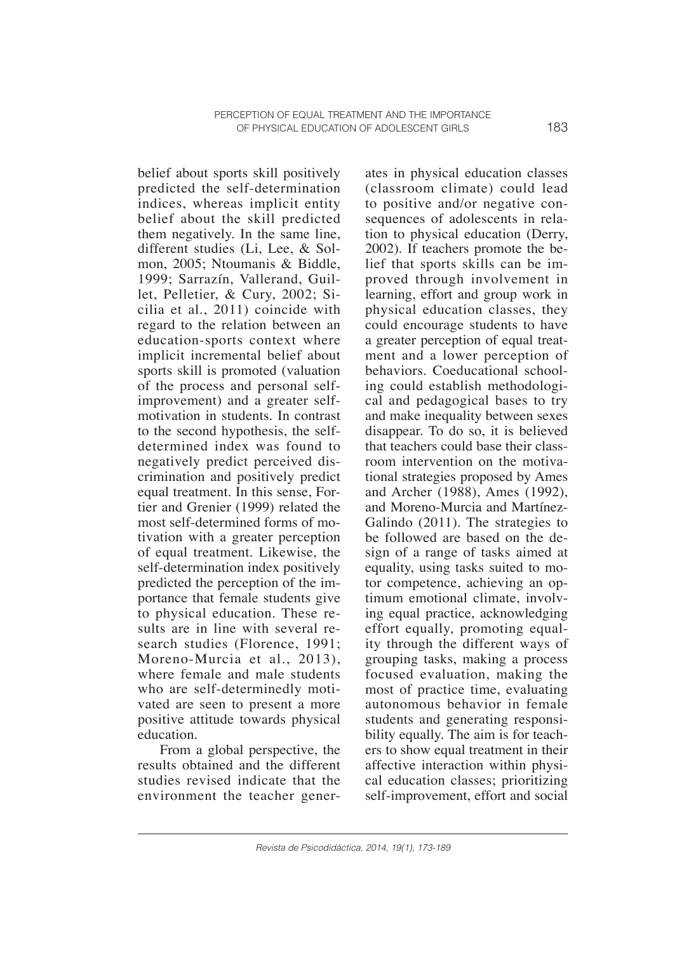belief about sports skill positively predicted the self-determination indices, whereas implicit entity belief about the skill predicted them negatively. In the same line, different studies (Li, Lee, & Solmon, 2005; Ntoumanis & Biddle, 1999; Sarrazín, Vallerand, Guillet, Pelletier, & Cury, 2002; Sicilia et al., 2011) coincide with regard to the relation between an education-sports context where implicit incremental belief about sports skill is promoted (valuation of the process and personal selfimprovement) and a greater selfmotivation in students. In contrast to the second hypothesis, the selfdetermined index was found to negatively predict perceived discrimination and positively predict equal treatment. In this sense, Fortier and Grenier (1999) related the most self-determined forms of motivation with a greater perception of equal treatment. Likewise, the self-determination index positively predicted the perception of the importance that female students give to physical education. These results are in line with several research studies (Florence, 1991; Moreno-Murcia et al., 2013), where female and male students who are self-determinedly motivated are seen to present a more positive attitude towards physical education.

From a global perspective, the results obtained and the different studies revised indicate that the environment the teacher generates in physical education classes (classroom climate) could lead to positive and/or negative consequences of adolescents in relation to physical education (Derry, 2002). If teachers promote the belief that sports skills can be improved through involvement in learning, effort and group work in physical education classes, they could encourage students to have a greater perception of equal treatment and a lower perception of behaviors. Coeducational schooling could establish methodological and pedagogical bases to try and make inequality between sexes disappear. To do so, it is believed that teachers could base their classroom intervention on the motivational strategies proposed by Ames and Archer (1988), Ames (1992), and Moreno-Murcia and Martínez-Galindo (2011). The strategies to be followed are based on the design of a range of tasks aimed at equality, using tasks suited to motor competence, achieving an optimum emotional climate, involving equal practice, acknowledging effort equally, promoting equality through the different ways of grouping tasks, making a process focused evaluation, making the most of practice time, evaluating autonomous behavior in female students and generating responsibility equally. The aim is for teachers to show equal treatment in their affective interaction within physical education classes; prioritizing self-improvement, effort and social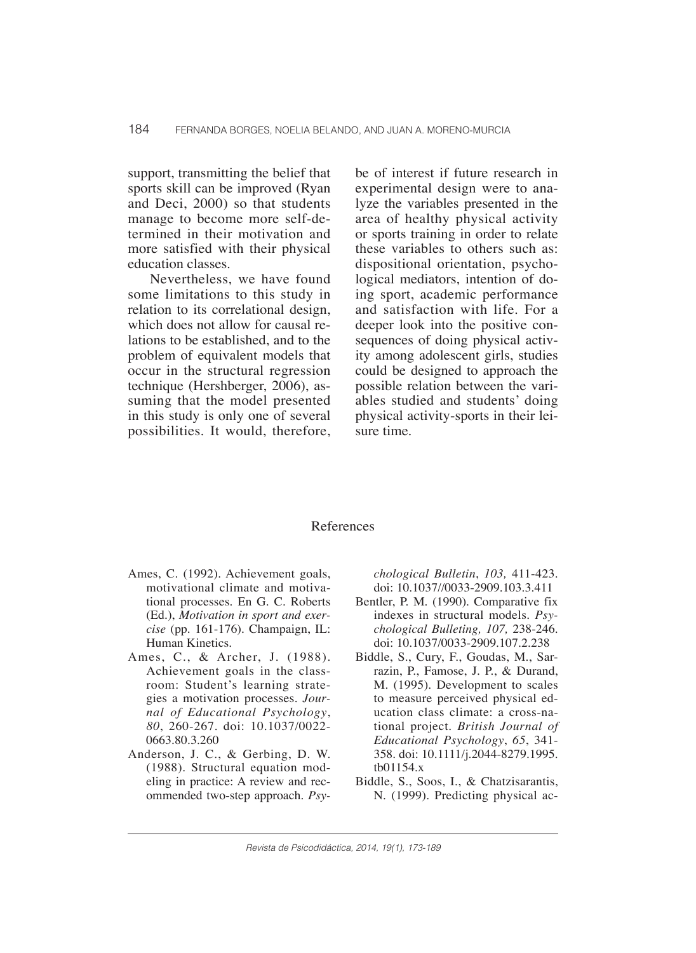support, transmitting the belief that sports skill can be improved (Ryan and Deci, 2000) so that students manage to become more self-determined in their motivation and more satisfied with their physical education classes.

Nevertheless, we have found some limitations to this study in relation to its correlational design, which does not allow for causal relations to be established, and to the problem of equivalent models that occur in the structural regression technique (Hershberger, 2006), assuming that the model presented in this study is only one of several possibilities. It would, therefore, be of interest if future research in experimental design were to analyze the variables presented in the area of healthy physical activity or sports training in order to relate these variables to others such as: dispositional orientation, psychological mediators, intention of doing sport, academic performance and satisfaction with life. For a deeper look into the positive consequences of doing physical activity among adolescent girls, studies could be designed to approach the possible relation between the variables studied and students' doing physical activity-sports in their leisure time.

#### References

- Ames, C. (1992). Achievement goals, motivational climate and motivational processes. En G. C. Roberts (Ed.), *Motivation in sport and exercise* (pp. 161-176). Champaign, IL: Human Kinetics.
- Ames, C., & Archer, J. (1988). Achievement goals in the classroom: Student's learning strategies a motivation processes. *Journal of Educational Psychology*, *80*, 260-267. doi: 10.1037/0022- 0663.80.3.260
- Anderson, J. C., & Gerbing, D. W. (1988). Structural equation modeling in practice: A review and recommended two-step approach. *Psy-*

*chological Bulletin*, *103,* 411-423. doi: 10.1037//0033-2909.103.3.411

- Bentler, P. M. (1990). Comparative fix indexes in structural models. *Psychological Bulleting, 107,* 238-246. doi: 10.1037/0033-2909.107.2.238
- Biddle, S., Cury, F., Goudas, M., Sarrazin, P., Famose, J. P., & Durand, M. (1995). Development to scales to measure perceived physical education class climate: a cross-national project. *British Journal of Educational Psychology*, *65*, 341- 358. doi: 10.1111/j.2044-8279.1995. tb01154.x
- Biddle, S., Soos, I., & Chatzisarantis, N. (1999). Predicting physical ac-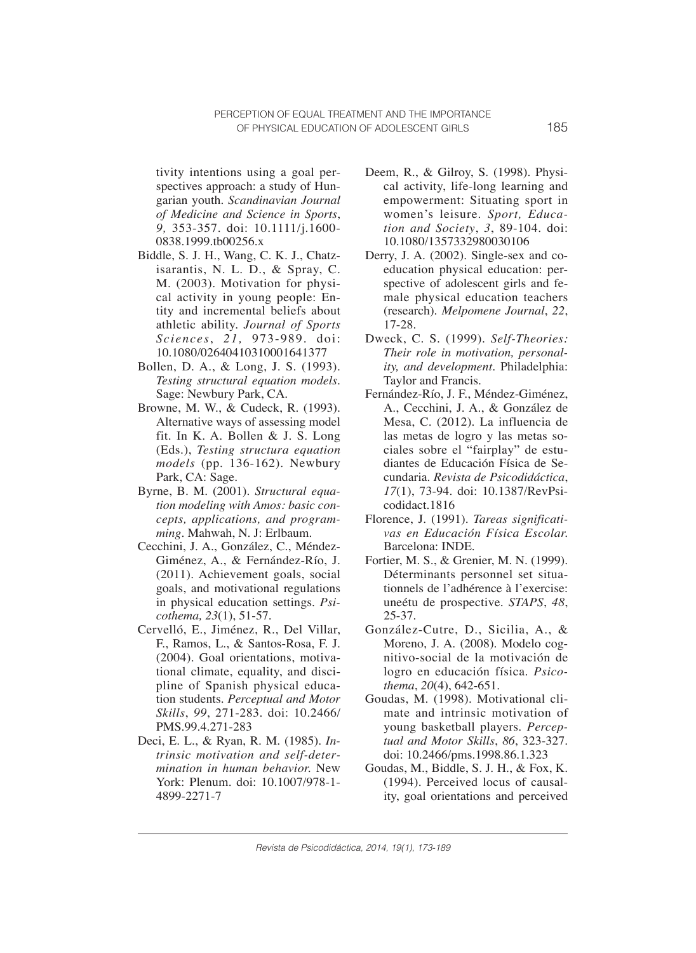tivity intentions using a goal perspectives approach: a study of Hungarian youth. *Scandinavian Journal of Medicine and Science in Sports*, *9,* 353-357. doi: 10.1111/j.1600- 0838.1999.tb00256.x

- Biddle, S. J. H., Wang, C. K. J., Chatzisarantis, N. L. D., & Spray, C. M. (2003). Motivation for physical activity in young people: Entity and incremental beliefs about athletic ability. *Journal of Sports Sciences*, *21,* 973-989. doi: 10.1080/02640410310001641377
- Bollen, D. A., & Long, J. S. (1993). *Testing structural equation models.*  Sage: Newbury Park, CA.
- Browne, M. W., & Cudeck, R. (1993). Alternative ways of assessing model fit. In K. A. Bollen & J. S. Long (Eds.), *Testing structura equation models* (pp. 136-162). Newbury Park, CA: Sage.
- Byrne, B. M. (2001). *Structural equation modeling with Amos: basic concepts, applications, and programming.* Mahwah, N. J: Erlbaum.
- Cecchini, J. A., González, C., Méndez-Giménez, A., & Fernández-Río, J. (2011). Achievement goals, social goals, and motivational regulations in physical education settings. *Psicothema, 23*(1), 51-57.
- Cervelló, E., Jiménez, R., Del Villar, F., Ramos, L., & Santos-Rosa, F. J. (2004). Goal orientations, motivational climate, equality, and discipline of Spanish physical education students. *Perceptual and Motor Skills*, *99*, 271-283. doi: 10.2466/ PMS.99.4.271-283
- Deci, E. L., & Ryan, R. M. (1985). *Intrinsic motivation and self-determination in human behavior.* New York: Plenum. doi: 10.1007/978-1- 4899-2271-7
- Deem, R., & Gilroy, S. (1998). Physical activity, life-long learning and empowerment: Situating sport in women's leisure. *Sport, Education and Society*, *3*, 89-104. doi: 10.1080/1357332980030106
- Derry, J. A. (2002). Single-sex and coeducation physical education: perspective of adolescent girls and female physical education teachers (research). *Melpomene Journal*, *22*, 17-28.
- Dweck, C. S. (1999). *Self-Theories: Their role in motivation, personality, and development*. Philadelphia: Taylor and Francis.
- Fernández-Río, J. F., Méndez-Giménez, A., Cecchini, J. A., & González de Mesa, C. (2012). La influencia de las metas de logro y las metas sociales sobre el "fairplay" de estudiantes de Educación Física de Secundaria. *Revista de Psicodidáctica*, *17*(1), 73-94. doi: 10.1387/RevPsicodidact.1816
- Florence, J. (1991). *Tareas significativas en Educación Física Escolar.*  Barcelona: INDE.
- Fortier, M. S., & Grenier, M. N. (1999). Déterminants personnel set situationnels de l'adhérence à l'exercise: uneétu de prospective. *STAPS*, *48*, 25-37.
- González-Cutre, D., Sicilia, A., & Moreno, J. A. (2008). Modelo cognitivo-social de la motivación de logro en educación física. *Psicothema*, *20*(4), 642-651.
- Goudas, M. (1998). Motivational climate and intrinsic motivation of young basketball players. *Perceptual and Motor Skills*, *86*, 323-327. doi: 10.2466/pms.1998.86.1.323
- Goudas, M., Biddle, S. J. H., & Fox, K. (1994). Perceived locus of causality, goal orientations and perceived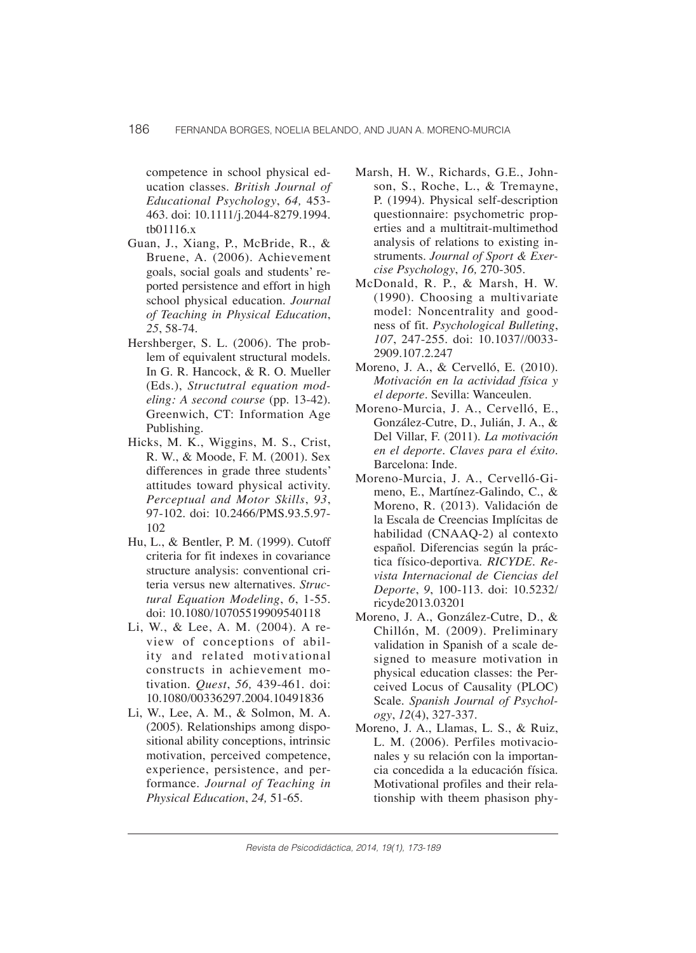competence in school physical education classes. *British Journal of Educational Psychology*, *64,* 453- 463. doi: 10.1111/j.2044-8279.1994. tb01116.x

- Guan, J., Xiang, P., McBride, R., & Bruene, A. (2006). Achievement goals, social goals and students' reported persistence and effort in high school physical education. *Journal of Teaching in Physical Education*, *25*, 58-74.
- Hershberger, S. L. (2006). The problem of equivalent structural models. In G. R. Hancock, & R. O. Mueller (Eds.), *Structutral equation modeling: A second course* (pp. 13-42). Greenwich, CT: Information Age Publishing.
- Hicks, M. K., Wiggins, M. S., Crist, R. W., & Moode, F. M. (2001). Sex differences in grade three students' attitudes toward physical activity. *Perceptual and Motor Skills*, *93*, 97-102. doi: 10.2466/PMS.93.5.97- 102
- Hu, L., & Bentler, P. M. (1999). Cutoff criteria for fit indexes in covariance structure analysis: conventional criteria versus new alternatives. *Structural Equation Modeling*, *6*, 1-55. doi: 10.1080/10705519909540118
- Li, W., & Lee, A. M. (2004). A review of conceptions of ability and related motivational constructs in achievement motivation. *Quest*, *56,* 439-461. doi: 10.1080/00336297.2004.10491836
- Li, W., Lee, A. M., & Solmon, M. A. (2005). Relationships among dispositional ability conceptions, intrinsic motivation, perceived competence, experience, persistence, and performance. *Journal of Teaching in Physical Education*, *24,* 51-65.
- Marsh, H. W., Richards, G.E., Johnson, S., Roche, L., & Tremayne, P. (1994). Physical self-description questionnaire: psychometric properties and a multitrait-multimethod analysis of relations to existing instruments. *Journal of Sport & Exercise Psychology*, *16,* 270-305.
- McDonald, R. P., & Marsh, H. W. (1990). Choosing a multivariate model: Noncentrality and goodness of fit. *Psychological Bulleting*, *107*, 247-255. doi: 10.1037//0033- 2909.107.2.247
- Moreno, J. A., & Cervelló, E. (2010). *Motivación en la actividad física y el deporte*. Sevilla: Wanceulen.
- Moreno-Murcia, J. A., Cervelló, E., González-Cutre, D., Julián, J. A., & Del Villar, F. (2011). *La motivación en el deporte. Claves para el éxito*. Barcelona: Inde.
- Moreno-Murcia, J. A., Cervelló-Gimeno, E., Martínez-Galindo, C., & Moreno, R. (2013). Validación de la Escala de Creencias Implícitas de habilidad (CNAAQ-2) al contexto español. Diferencias según la práctica físico-deportiva*. RICYDE. Revista Internacional de Ciencias del Deporte*, *9*, 100-113. doi: 10.5232/ ricyde2013.03201
- Moreno, J. A., González-Cutre, D., & Chillón, M. (2009). Preliminary validation in Spanish of a scale designed to measure motivation in physical education classes: the Perceived Locus of Causality (PLOC) Scale. *Spanish Journal of Psychology*, *12*(4), 327-337.
- Moreno, J. A., Llamas, L. S., & Ruiz, L. M. (2006). Perfiles motivacionales y su relación con la importancia concedida a la educación física. Motivational profiles and their relationship with theem phasison phy-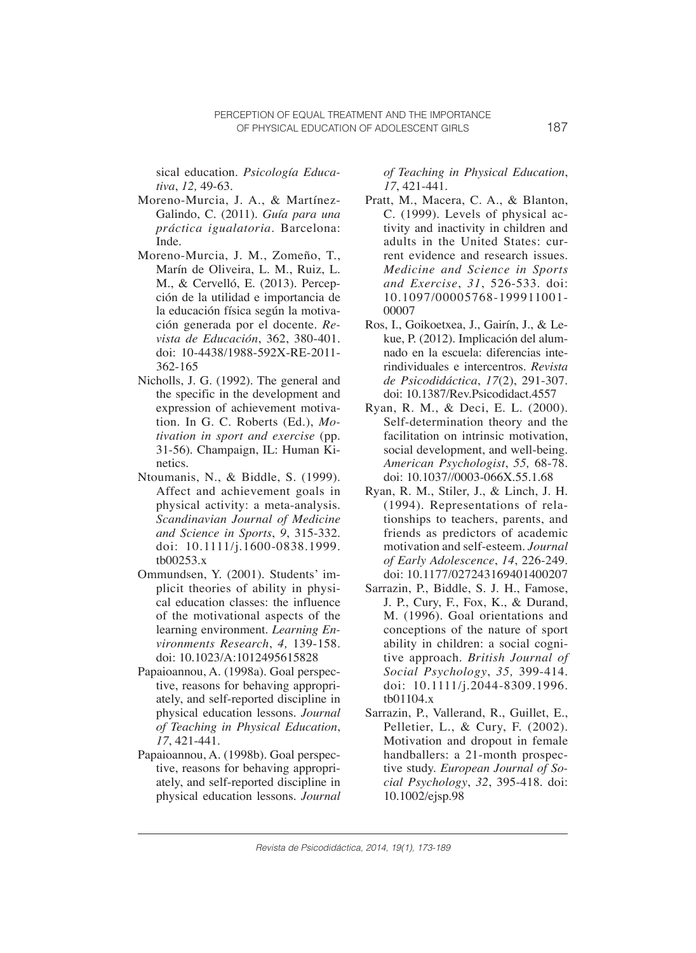sical education. *Psicología Educativa*, *12,* 49-63.

- Moreno-Murcia, J. A., & Martínez-Galindo, C. (2011). *Guía para una práctica igualatoria*. Barcelona: Inde.
- Moreno-Murcia, J. M., Zomeño, T., Marín de Oliveira, L. M., Ruiz, L. M., & Cervelló, E. (2013). Percepción de la utilidad e importancia de la educación física según la motivación generada por el docente. *Revista de Educación*, 362, 380-401. doi: 10-4438/1988-592X-RE-2011- 362-165
- Nicholls, J. G. (1992). The general and the specific in the development and expression of achievement motivation. In G. C. Roberts (Ed.), *Motivation in sport and exercise* (pp. 31-56). Champaign, IL: Human Kinetics.
- Ntoumanis, N., & Biddle, S. (1999). Affect and achievement goals in physical activity: a meta-analysis. *Scandinavian Journal of Medicine and Science in Sports*, *9*, 315-332. doi: 10.1111/j.1600-0838.1999. tb00253.x
- Ommundsen, Y. (2001). Students' implicit theories of ability in physical education classes: the influence of the motivational aspects of the learning environment. *Learning Environments Research*, *4,* 139-158. doi: 10.1023/A:1012495615828
- Papaioannou, A. (1998a). Goal perspective, reasons for behaving appropriately, and self-reported discipline in physical education lessons. *Journal of Teaching in Physical Education*, *17*, 421-441.
- Papaioannou, A. (1998b). Goal perspective, reasons for behaving appropriately, and self-reported discipline in physical education lessons. *Journal*

*of Teaching in Physical Education*, *17*, 421-441.

- Pratt, M., Macera, C. A., & Blanton, C. (1999). Levels of physical activity and inactivity in children and adults in the United States: current evidence and research issues. *Medicine and Science in Sports and Exercise*, *31*, 526-533. doi: 10.1097/00005768-199911001- 00007
- Ros, I., Goikoetxea, J., Gairín, J., & Lekue, P. (2012). Implicación del alumnado en la escuela: diferencias interindividuales e intercentros. *Revista de Psicodidáctica*, *17*(2), 291-307. doi: 10.1387/Rev.Psicodidact.4557
- Ryan, R. M., & Deci, E. L. (2000). Self-determination theory and the facilitation on intrinsic motivation, social development, and well-being. *American Psychologist*, *55,* 68-78. doi: 10.1037//0003-066X.55.1.68
- Ryan, R. M., Stiler, J., & Linch, J. H. (1994). Representations of relationships to teachers, parents, and friends as predictors of academic motivation and self-esteem. *Journal of Early Adolescence*, *14*, 226-249. doi: 10.1177/027243169401400207
- Sarrazin, P., Biddle, S. J. H., Famose, J. P., Cury, F., Fox, K., & Durand, M. (1996). Goal orientations and conceptions of the nature of sport ability in children: a social cognitive approach. *British Journal of Social Psychology*, *35,* 399-414. doi: 10.1111/j.2044-8309.1996. tb01104.x
- Sarrazin, P., Vallerand, R., Guillet, E., Pelletier, L., & Cury, F. (2002). Motivation and dropout in female handballers: a 21-month prospective study. *European Journal of Social Psychology*, *32*, 395-418. doi: 10.1002/ejsp.98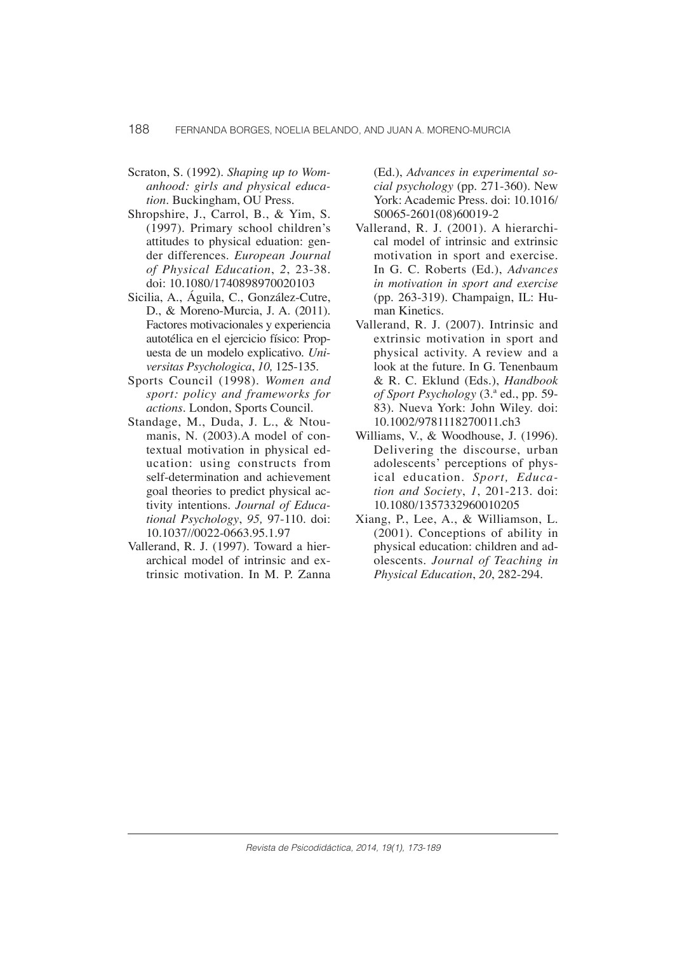- Scraton, S. (1992). *Shaping up to Womanhood: girls and physical education*. Buckingham, OU Press.
- Shropshire, J., Carrol, B., & Yim, S. (1997). Primary school children's attitudes to physical eduation: gender differences. *European Journal of Physical Education*, *2*, 23-38. doi: 10.1080/1740898970020103
- Sicilia, A., Águila, C., González-Cutre, D., & Moreno-Murcia, J. A. (2011). Factores motivacionales y experiencia autotélica en el ejercicio físico: Propuesta de un modelo explicativo. *Universitas Psychologica*, *10,* 125-135.
- Sports Council (1998). *Women and sport: policy and frameworks for actions*. London, Sports Council.
- Standage, M., Duda, J. L., & Ntoumanis, N. (2003).A model of contextual motivation in physical education: using constructs from self-determination and achievement goal theories to predict physical activity intentions. *Journal of Educational Psychology*, *95,* 97-110. doi: 10.1037//0022-0663.95.1.97
- Vallerand, R. J. (1997). Toward a hierarchical model of intrinsic and extrinsic motivation. In M. P. Zanna

(Ed.), *Advances in experimental social psychology* (pp. 271-360). New York: Academic Press. doi: 10.1016/ S0065-2601(08)60019-2

- Vallerand, R. J. (2001). A hierarchical model of intrinsic and extrinsic motivation in sport and exercise. In G. C. Roberts (Ed.), *Advances in motivation in sport and exercise*  (pp. 263-319). Champaign, IL: Human Kinetics.
- Vallerand, R. J. (2007). Intrinsic and extrinsic motivation in sport and physical activity. A review and a look at the future. In G. Tenenbaum & R. C. Eklund (Eds.), *Handbook of Sport Psychology* (3.ª ed., pp. 59- 83). Nueva York: John Wiley. doi: 10.1002/9781118270011.ch3
- Williams, V., & Woodhouse, J. (1996). Delivering the discourse, urban adolescents' perceptions of physical education. *Sport, Education and Society*, *1*, 201-213. doi: 10.1080/1357332960010205
- Xiang, P., Lee, A., & Williamson, L. (2001). Conceptions of ability in physical education: children and adolescents. *Journal of Teaching in Physical Education*, *20*, 282-294.